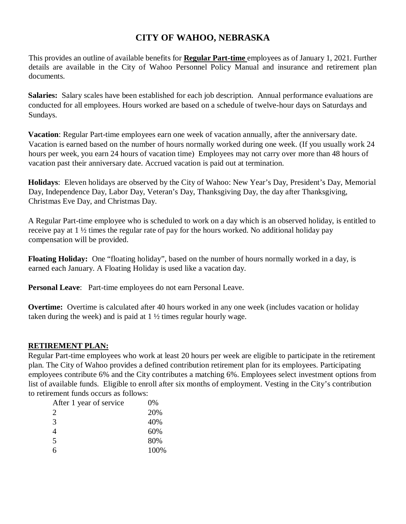## **CITY OF WAHOO, NEBRASKA**

This provides an outline of available benefits for **Regular Part-time** employees as of January 1, 2021. Further details are available in the City of Wahoo Personnel Policy Manual and insurance and retirement plan documents.

**Salaries:** Salary scales have been established for each job description. Annual performance evaluations are conducted for all employees. Hours worked are based on a schedule of twelve-hour days on Saturdays and Sundays.

**Vacation**: Regular Part-time employees earn one week of vacation annually, after the anniversary date. Vacation is earned based on the number of hours normally worked during one week. (If you usually work 24 hours per week, you earn 24 hours of vacation time) Employees may not carry over more than 48 hours of vacation past their anniversary date. Accrued vacation is paid out at termination.

**Holidays**: Eleven holidays are observed by the City of Wahoo: New Year's Day, President's Day, Memorial Day, Independence Day, Labor Day, Veteran's Day, Thanksgiving Day, the day after Thanksgiving, Christmas Eve Day, and Christmas Day.

A Regular Part-time employee who is scheduled to work on a day which is an observed holiday, is entitled to receive pay at 1 ½ times the regular rate of pay for the hours worked. No additional holiday pay compensation will be provided.

**Floating Holiday:** One "floating holiday", based on the number of hours normally worked in a day, is earned each January. A Floating Holiday is used like a vacation day.

**Personal Leave**: Part-time employees do not earn Personal Leave.

**Overtime:** Overtime is calculated after 40 hours worked in any one week (includes vacation or holiday taken during the week) and is paid at  $1\frac{1}{2}$  times regular hourly wage.

## **RETIREMENT PLAN:**

Regular Part-time employees who work at least 20 hours per week are eligible to participate in the retirement plan. The City of Wahoo provides a defined contribution retirement plan for its employees. Participating employees contribute 6% and the City contributes a matching 6%. Employees select investment options from list of available funds. Eligible to enroll after six months of employment. Vesting in the City's contribution to retirement funds occurs as follows:

| After 1 year of service | $0\%$ |
|-------------------------|-------|
| 2                       | 20%   |
| 3                       | 40%   |
| $\overline{4}$          | 60%   |
| 5                       | 80%   |
| 6                       | 100%  |